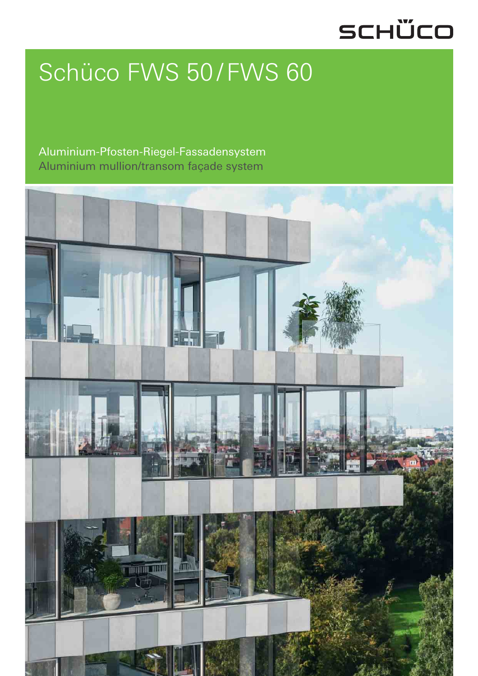# SCHÜCO

# Schüco FWS 50/FWS 60

## Aluminium-Pfosten-Riegel-Fassadensystem Aluminium mullion/transom façade system

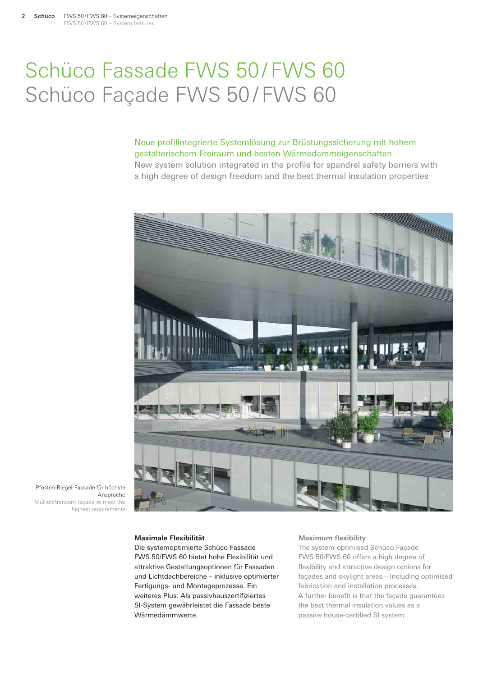## Schüco Fassade FWS 50/FWS 60 Schüco Façade FWS 50/FWS 60

### Neue profilintegrierte Systemlösung zur Brüstungssicherung mit hohem gestalterischem Freiraum und besten Wärmedammeigenschaften

New system solution integrated in the profile for spandrel safety barriers with a high degree of design freedom and the best thermal insulation properties



Pfosten-Riegel-Fassade für höchste Ansprüche Mullion/transom façade to meet the highest requirements

#### **Maximale Flexibilität**

Die systemoptimierte Schüco Fassade FWS 50/FWS 60 bietet hohe Flexibilität und attraktive Gestaltungsoptionen für Fassaden und Lichtdachbereiche – inklusive optimierter Fertigungs- und Montageprozesse. Ein weiteres Plus: Als passivhauszertifiziertes SI-System gewährleistet die Fassade beste Wärmedämmwerte.

#### **Maximum flexibility**

The system-optimised Schüco Façade FWS 50/FWS 60 offers a high degree of flexibility and attractive design options for façades and skylight areas – including optimised fabrication and installation processes. A further benefit is that the façade guarantees the best thermal insulation values as a passive house-certified SI system.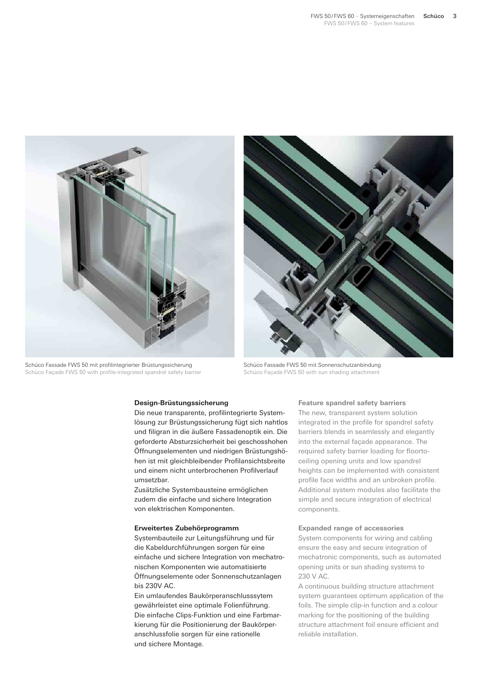

Schüco Fassade FWS 50 mit profilintegrierter Brüstungssicherung Schüco Façade FWS 50 with profile-integrated spandrel safety barrier



Schüco Fassade FWS 50 mit Sonnenschutzanbindung Schüco Façade FWS 50 with sun shading attachment

#### **Design-Brüstungssicherung**

Die neue transparente, profilintegrierte Systemlösung zur Brüstungssicherung fügt sich nahtlos und filigran in die äußere Fassadenoptik ein. Die geforderte Absturzsicherheit bei geschosshohen Öffnungselementen und niedrigen Brüstungshöhen ist mit gleichbleibender Profilansichtsbreite und einem nicht unterbrochenen Profilverlauf umsetzbar.

Zusätzliche Systembausteine ermöglichen zudem die einfache und sichere Integration von elektrischen Komponenten.

#### **Erweitertes Zubehörprogramm**

Systembauteile zur Leitungsführung und für die Kabeldurchführungen sorgen für eine einfache und sichere Integration von mechatronischen Komponenten wie automatisierte Öffnungselemente oder Sonnenschutzanlagen bis 230V AC.

Ein umlaufendes Baukörperanschlusssytem gewährleistet eine optimale Folienführung. Die einfache Clips-Funktion und eine Farbmarkierung für die Positionierung der Baukörperanschlussfolie sorgen für eine rationelle und sichere Montage.

#### **Feature spandrel safety barriers**

The new, transparent system solution integrated in the profile for spandrel safety barriers blends in seamlessly and elegantly into the external façade appearance. The required safety barrier loading for floortoceiling opening units and low spandrel heights can be implemented with consistent profile face widths and an unbroken profile. Additional system modules also facilitate the simple and secure integration of electrical components.

#### **Expanded range of accessories**

System components for wiring and cabling ensure the easy and secure integration of mechatronic components, such as automated opening units or sun shading systems to 230 V AC.

A continuous building structure attachment system guarantees optimum application of the foils. The simple clip-in function and a colour marking for the positioning of the building structure attachment foil ensure efficient and reliable installation.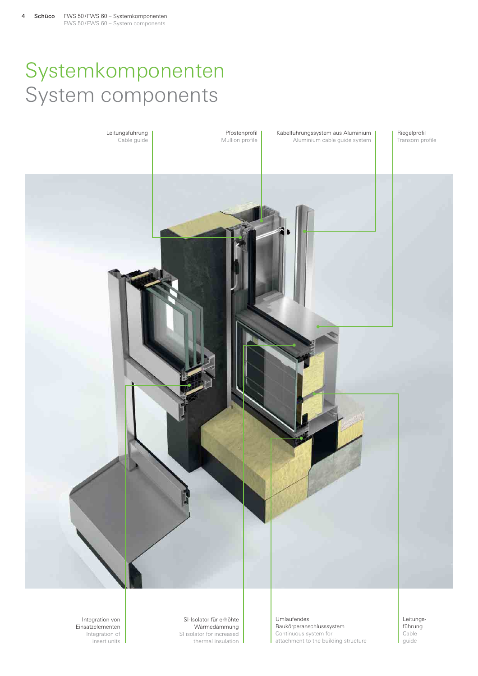## Systemkomponenten System components



Wärmedämmung SI isolator for increased thermal insulation

Umlaufendes Baukörperanschlusssystem Continuous system for attachment to the building structure

Leitungsführung Cable guide

Integration von Einsatzelementen Integration of insert units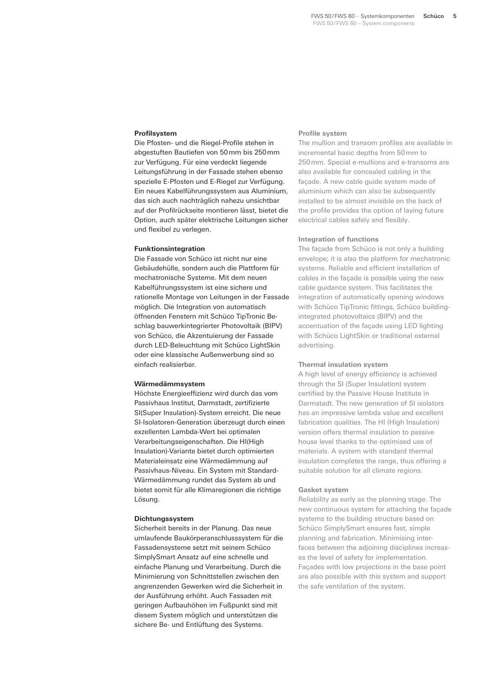#### **Profilsystem**

Die Pfosten- und die Riegel-Profile stehen in abgestuften Bautiefen von 50 mm bis 250 mm zur Verfügung. Für eine verdeckt liegende Leitungsführung in der Fassade stehen ebenso spezielle E-Pfosten und E-Riegel zur Verfügung. Ein neues Kabelführungssystem aus Aluminium, das sich auch nachträglich nahezu unsichtbar auf der Profilrückseite montieren lässt, bietet die Option, auch später elektrische Leitungen sicher und flexibel zu verlegen.

#### **Funktionsintegration**

Die Fassade von Schüco ist nicht nur eine Gebäudehülle, sondern auch die Plattform für mechatronische Systeme. Mit dem neuen Kabelführungssystem ist eine sichere und rationelle Montage von Leitungen in der Fassade möglich. Die Integration von automatisch öffnenden Fenstern mit Schüco TipTronic Beschlag bauwerkintegrierter Photovoltaik (BIPV) von Schüco, die Akzentuierung der Fassade durch LED-Beleuchtung mit Schüco LightSkin oder eine klassische Außenwerbung sind so einfach realisierbar.

#### **Wärmedämmsystem**

Höchste Energieeffizienz wird durch das vom Passivhaus Institut, Darmstadt, zertifizierte SI(Super Insulation)-System erreicht. Die neue SI-Isolatoren-Generation überzeugt durch einen exzellenten Lambda-Wert bei optimalen Verarbeitungseigenschaften. Die HI(High Insulation)-Variante bietet durch optimierten Materialeinsatz eine Wärmedämmung auf Passivhaus-Niveau. Ein System mit Standard-Wärmedämmung rundet das System ab und bietet somit für alle Klimaregionen die richtige Lösung.

#### **Dichtungssystem**

Sicherheit bereits in der Planung. Das neue umlaufende Baukörperanschlusssystem für die Fassadensysteme setzt mit seinem Schüco SimplySmart Ansatz auf eine schnelle und einfache Planung und Verarbeitung. Durch die Minimierung von Schnittstellen zwischen den angrenzenden Gewerken wird die Sicherheit in der Ausführung erhöht. Auch Fassaden mit geringen Aufbauhöhen im Fußpunkt sind mit diesem System möglich und unterstützen die sichere Be- und Entlüftung des Systems.

#### **Profile system**

The mullion and transom profiles are available in incremental basic depths from 50 mm to 250 mm. Special e-mullions and e-transoms are also available for concealed cabling in the façade. A new cable guide system made of aluminium which can also be subsequently installed to be almost invisible on the back of the profile provides the option of laying future electrical cables safely and flexibly.

#### **Integration of functions**

The façade from Schüco is not only a building envelope; it is also the platform for mechatronic systems. Reliable and efficient installation of cables in the façade is possible using the new cable guidance system. This facilitates the integration of automatically opening windows with Schüco TipTronic fittings, Schüco buildingintegrated photovoltaics (BIPV) and the accentuation of the façade using LED lighting with Schüco LightSkin or traditional external advertising.

#### **Thermal insulation system**

A high level of energy efficiency is achieved through the SI (Super Insulation) system certified by the Passive House Institute in Darmstadt. The new generation of SI isolators has an impressive lambda value and excellent fabrication qualities. The HI (High Insulation) version offers thermal insulation to passive house level thanks to the optimised use of materials. A system with standard thermal insulation completes the range, thus offering a suitable solution for all climate regions.

#### **Gasket system**

Reliability as early as the planning stage. The new continuous system for attaching the façade systems to the building structure based on Schüco SimplySmart ensures fast, simple planning and fabrication. Minimising interfaces between the adjoining disciplines increases the level of safety for implementation. Façades with low projections in the base point are also possible with this system and support the safe ventilation of the system.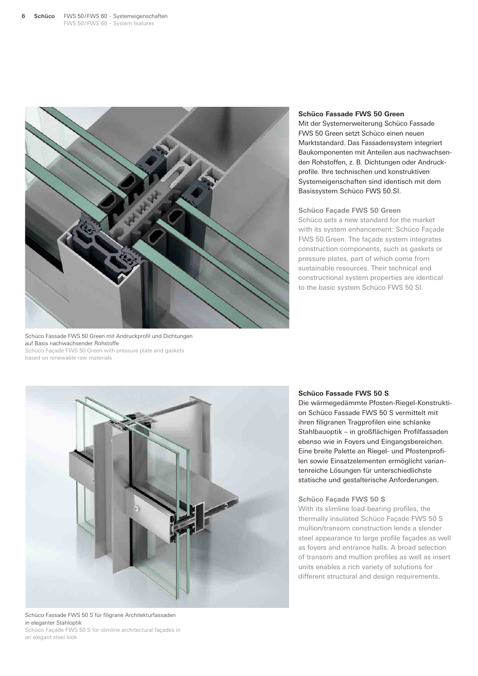

#### **Schüco Fassade FWS 50 Green**

Mit der Systemerweiterung Schüco Fassade FWS 50 Green setzt Schüco einen neuen Marktstandard. Das Fassadensystem integriert Baukomponenten mit Anteilen aus nachwachsenden Rohstoffen, z. B. Dichtungen oder Andruckprofile. Ihre technischen und konstruktiven Systemeigenschaften sind identisch mit dem Basissystem Schüco FWS 50.SI.

#### **Schüco Façade FWS 50 Green**

Schüco sets a new standard for the market with its system enhancement: Schüco Façade FWS 50 Green. The façade system integrates construction components, such as gaskets or pressure plates, part of which come from sustainable resources. Their technical and constructional system properties are identical to the basic system Schüco FWS 50.SI.





Schüco Fassade FWS 50 S für filigrane Architekturfassaden in eleganter Stahloptik Schüco Façade FWS 50 S for slimline architectural façades in an elegant steel look

#### **Schüco Fassade FWS 50 S**

Die wärmegedämmte Pfosten-Riegel-Konstruktion Schüco Fassade FWS 50 S vermittelt mit ihren filigranen Tragprofilen eine schlanke Stahlbauoptik – in großflächigen Profilfassaden ebenso wie in Foyers und Eingangsbereichen. Eine breite Palette an Riegel- und Pfostenprofilen sowie Einsatzelementen ermöglicht variantenreiche Lösungen für unterschiedlichste statische und gestalterische Anforderungen.

#### **Schüco Façade FWS 50 S**

With its slimline load-bearing profiles, the thermally insulated Schüco Façade FWS 50 S mullion/transom construction lends a slender steel appearance to large profile façades as well as foyers and entrance halls. A broad selection of transom and mullion profiles as well as insert units enables a rich variety of solutions for different structural and design requirements.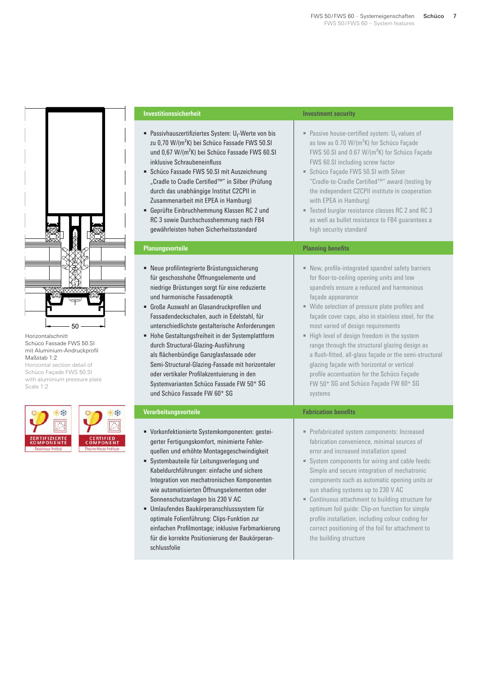

Horizontalschnitt Schüco Fassade FWS 50.SI mit Aluminium-Andruckprofil Maßstab 1:2

Horizontal section detail of Schüco Façade FWS 50.SI with aluminium pressure plate Scale 1:2

| <b>ZERTIFIZIERTE</b><br><b>KOMPONENTE</b> | <b>CERTI</b><br>COMPO |
|-------------------------------------------|-----------------------|
| Passivhaus Institut                       | <b>Pastive Hours</b>  |

一条

FIED<br>NENT

| <b>Investitionssicherheit</b>                                                                                                                                                                                                                                                                                                                                                                                                                                                                                                                                                                                                             | <b>Investment security</b>                                                                                                                                                                                                                                                                                                                                                                                                                                                                                                                                                                                                                          |
|-------------------------------------------------------------------------------------------------------------------------------------------------------------------------------------------------------------------------------------------------------------------------------------------------------------------------------------------------------------------------------------------------------------------------------------------------------------------------------------------------------------------------------------------------------------------------------------------------------------------------------------------|-----------------------------------------------------------------------------------------------------------------------------------------------------------------------------------------------------------------------------------------------------------------------------------------------------------------------------------------------------------------------------------------------------------------------------------------------------------------------------------------------------------------------------------------------------------------------------------------------------------------------------------------------------|
| Passivhauszertifiziertes System: Uf-Werte von bis<br>zu 0,70 W/(m <sup>2</sup> K) bei Schüco Fassade FWS 50.SI<br>und 0,67 W/(m <sup>2</sup> K) bei Schüco Fassade FWS 60.SI<br>inklusive Schraubeneinfluss<br>Schüco Fassade FWS 50.SI mit Auszeichnung<br>"Cradle to Cradle Certified™" in Silber (Prüfung<br>durch das unabhängige Institut C2CPII in<br>Zusammenarbeit mit EPEA in Hamburg)<br>Geprüfte Einbruchhemmung Klassen RC 2 und<br>RC 3 sowie Durchschusshemmung nach FB4<br>gewährleisten hohen Sicherheitsstandard                                                                                                         | Passive house-certified system: $U_f$ values of<br>as low as 0.70 W/(m <sup>2</sup> K) for Schüco Façade<br>FWS 50.SI and 0.67 W/(m <sup>2</sup> K) for Schüco Façade<br>FWS 60.SI including screw factor<br>Schüco Façade FWS 50.SI with Silver<br>"Cradle-to-Cradle Certified™" award (testing by<br>the independent C2CPII institute in cooperation<br>with EPEA in Hamburg)<br>" Tested burglar resistance classes RC 2 and RC 3<br>as well as bullet resistance to FB4 guarantees a<br>high security standard                                                                                                                                  |
| <b>Planungsvorteile</b>                                                                                                                                                                                                                                                                                                                                                                                                                                                                                                                                                                                                                   | <b>Planning benefits</b>                                                                                                                                                                                                                                                                                                                                                                                                                                                                                                                                                                                                                            |
| · Neue profilintegrierte Brüstungssicherung<br>für geschosshohe Öffnungselemente und<br>niedrige Brüstungen sorgt für eine reduzierte<br>und harmonische Fassadenoptik<br>Große Auswahl an Glasandruckprofilen und<br>Fassadendeckschalen, auch in Edelstahl, für<br>unterschiedlichste gestalterische Anforderungen<br>• Hohe Gestaltungsfreiheit in der Systemplattform<br>durch Structural-Glazing-Ausführung<br>als flächenbündige Ganzglasfassade oder<br>Semi-Structural-Glazing-Fassade mit horizontaler<br>oder vertikaler Profilakzentuierung in den<br>Systemvarianten Schüco Fassade FW 50+ SG<br>und Schüco Fassade FW 60+ SG | New, profile-integrated spandrel safety barriers<br>for floor-to-ceiling opening units and low<br>spandrels ensure a reduced and harmonious<br>façade appearance<br>" Wide selection of pressure plate profiles and<br>façade cover caps, also in stainless steel, for the<br>most varied of design requirements<br>High level of design freedom in the system<br>range through the structural glazing design as<br>a flush-fitted, all-glass façade or the semi-structural<br>glazing façade with horizontal or vertical<br>profile accentuation for the Schüco Façade<br>FW 50 <sup>+</sup> SG and Schüco Façade FW 60 <sup>+</sup> SG<br>systems |
| Verarbeitungsvorteile                                                                                                                                                                                                                                                                                                                                                                                                                                                                                                                                                                                                                     | <b>Fabrication benefits</b>                                                                                                                                                                                                                                                                                                                                                                                                                                                                                                                                                                                                                         |
| • Vorkonfektionierte Systemkomponenten: gestei-<br>gerter Fertigungskomfort, minimierte Fehler-<br>quellen und erhöhte Montagegeschwindigkeit<br>Systembauteile für Leitungsverlegung und<br>Kabeldurchführungen: einfache und sichere<br>Integration von mechatronischen Komponenten<br>wie automatisierten Öffnungselementen oder<br>Sonnenschutzanlagen bis 230 V AC<br>Umlaufendes Baukörperanschlusssystem für<br>٠<br>optimale Folienführung: Clips-Funktion zur<br>einfachen Profilmontage; inklusive Farbmarkierung<br>für die korrekte Positionierung der Baukörperan-<br>schlussfolie                                           | Prefabricated system components: Increased<br>fabrication convenience, minimal sources of<br>error and increased installation speed<br>System components for wiring and cable feeds:<br>Simple and secure integration of mechatronic<br>components such as automatic opening units or<br>sun shading systems up to 230 V AC<br>" Continuous attachment to building structure for<br>optimum foil guide: Clip-on function for simple<br>profile installation, including colour coding for<br>correct positioning of the foil for attachment to<br>the building structure                                                                             |